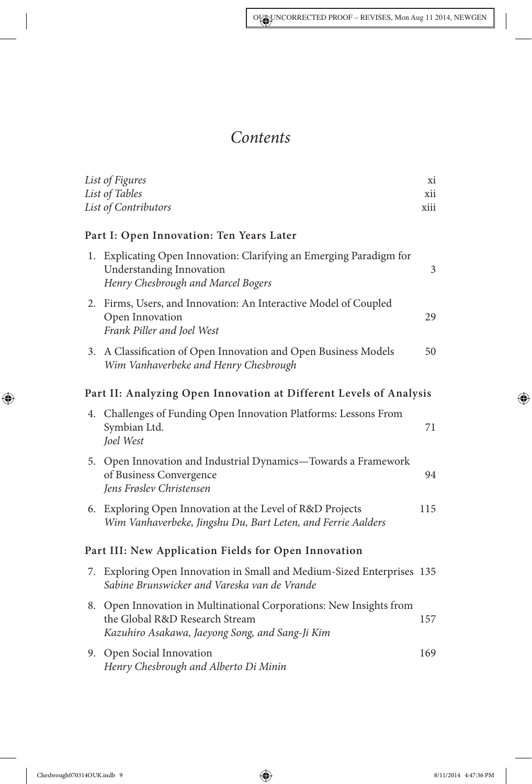$\overline{\phantom{a}}$ 

 $\bigoplus$ 

## Contents

| List of Figures                                                                                                                                          | хi   |
|----------------------------------------------------------------------------------------------------------------------------------------------------------|------|
| List of Tables                                                                                                                                           | xii  |
| List of Contributors                                                                                                                                     | xiii |
| Part I: Open Innovation: Ten Years Later                                                                                                                 |      |
| 1. Explicating Open Innovation: Clarifying an Emerging Paradigm for<br>Understanding Innovation<br>Henry Chesbrough and Marcel Bogers                    | 3    |
| 2. Firms, Users, and Innovation: An Interactive Model of Coupled<br>Open Innovation<br>Frank Piller and Joel West                                        | 29   |
| 3. A Classification of Open Innovation and Open Business Models<br>Wim Vanhaverbeke and Henry Chesbrough                                                 | 50   |
| Part II: Analyzing Open Innovation at Different Levels of Analysis                                                                                       |      |
| 4. Challenges of Funding Open Innovation Platforms: Lessons From<br>Symbian Ltd.<br>Joel West                                                            | 71   |
| 5. Open Innovation and Industrial Dynamics-Towards a Framework<br>of Business Convergence<br>Jens Frøslev Christensen                                    | 94   |
| 6. Exploring Open Innovation at the Level of R&D Projects<br>Wim Vanhaverbeke, Jingshu Du, Bart Leten, and Ferrie Aalders                                | 115  |
| Part III: New Application Fields for Open Innovation                                                                                                     |      |
| 7. Exploring Open Innovation in Small and Medium-Sized Enterprises 135<br>Sabine Brunswicker and Vareska van de Vrande                                   |      |
| 8. Open Innovation in Multinational Corporations: New Insights from<br>the Global R&D Research Stream<br>Kazuhiro Asakawa, Jaeyong Song, and Sang-Ji Kim | 157  |
| 9. Open Social Innovation<br>Henry Chesbrough and Alberto Di Minin                                                                                       | 169  |

 $\bigoplus$